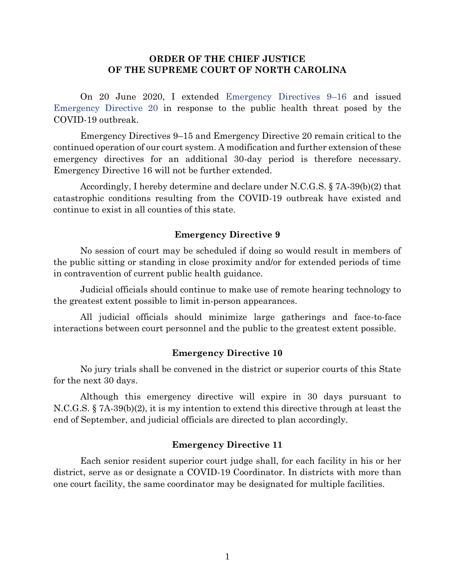## **ORDER OF THE CHIEF JUSTICE OF THE SUPREME COURT OF NORTH CAROLINA**

On 20 June 2020, I extended [Emergency Directives 9](https://www.nccourts.gov/assets/news-uploads/20%20June%202020%20-%207A-39%28b%29%282%29%20Extension%20Order%20for%20Emergency%20Directives%209-16%20%28FINAL%29.pdf?BFx89k8V3CLlSIT9Qq7mUzRSfUGWt6u7)–16 and issued [Emergency Directive 20](https://www.nccourts.gov/assets/news-uploads/20%20June%202020%20-%207A-39%28b%29%282%29%20Issuing%20Emergency%20Directive%2020%20%28FINAL%29.pdf?08jSBFDXmFKlymUGM_IHffzPWd5CDKUO) in response to the public health threat posed by the COVID-19 outbreak.

Emergency Directives 9–15 and Emergency Directive 20 remain critical to the continued operation of our court system. A modification and further extension of these emergency directives for an additional 30-day period is therefore necessary. Emergency Directive 16 will not be further extended.

Accordingly, I hereby determine and declare under N.C.G.S. § 7A-39(b)(2) that catastrophic conditions resulting from the COVID-19 outbreak have existed and continue to exist in all counties of this state.

### **Emergency Directive 9**

No session of court may be scheduled if doing so would result in members of the public sitting or standing in close proximity and/or for extended periods of time in contravention of current public health guidance.

Judicial officials should continue to make use of remote hearing technology to the greatest extent possible to limit in-person appearances.

All judicial officials should minimize large gatherings and face-to-face interactions between court personnel and the public to the greatest extent possible.

### **Emergency Directive 10**

No jury trials shall be convened in the district or superior courts of this State for the next 30 days.

Although this emergency directive will expire in 30 days pursuant to N.C.G.S. § 7A-39(b)(2), it is my intention to extend this directive through at least the end of September, and judicial officials are directed to plan accordingly.

### **Emergency Directive 11**

Each senior resident superior court judge shall, for each facility in his or her district, serve as or designate a COVID-19 Coordinator. In districts with more than one court facility, the same coordinator may be designated for multiple facilities.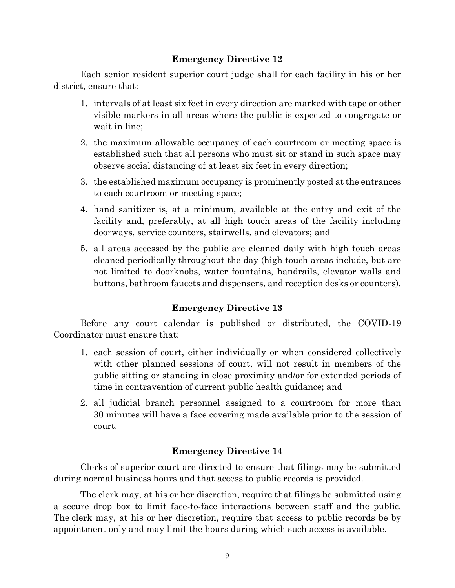## **Emergency Directive 12**

Each senior resident superior court judge shall for each facility in his or her district, ensure that:

- 1. intervals of at least six feet in every direction are marked with tape or other visible markers in all areas where the public is expected to congregate or wait in line;
- 2. the maximum allowable occupancy of each courtroom or meeting space is established such that all persons who must sit or stand in such space may observe social distancing of at least six feet in every direction;
- 3. the established maximum occupancy is prominently posted at the entrances to each courtroom or meeting space;
- 4. hand sanitizer is, at a minimum, available at the entry and exit of the facility and, preferably, at all high touch areas of the facility including doorways, service counters, stairwells, and elevators; and
- 5. all areas accessed by the public are cleaned daily with high touch areas cleaned periodically throughout the day (high touch areas include, but are not limited to doorknobs, water fountains, handrails, elevator walls and buttons, bathroom faucets and dispensers, and reception desks or counters).

# **Emergency Directive 13**

Before any court calendar is published or distributed, the COVID-19 Coordinator must ensure that:

- 1. each session of court, either individually or when considered collectively with other planned sessions of court, will not result in members of the public sitting or standing in close proximity and/or for extended periods of time in contravention of current public health guidance; and
- 2. all judicial branch personnel assigned to a courtroom for more than 30 minutes will have a face covering made available prior to the session of court.

# **Emergency Directive 14**

Clerks of superior court are directed to ensure that filings may be submitted during normal business hours and that access to public records is provided.

The clerk may, at his or her discretion, require that filings be submitted using a secure drop box to limit face-to-face interactions between staff and the public. The clerk may, at his or her discretion, require that access to public records be by appointment only and may limit the hours during which such access is available.